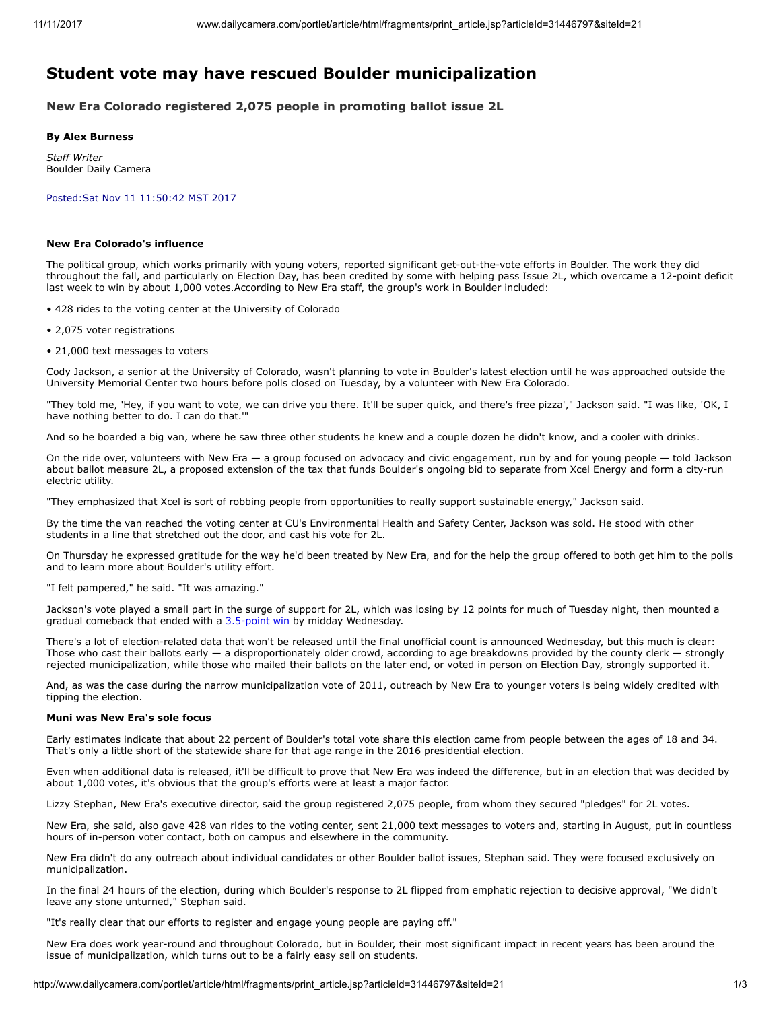# Student vote may have rescued Boulder municipalization

New Era Colorado registered 2,075 people in promoting ballot issue 2L

### By Alex Burness

Staff Writer Boulder Daily Camera

Posted:Sat Nov 11 11:50:42 MST 2017

# New Era Colorado's influence

The political group, which works primarily with young voters, reported significant get-out-the-vote efforts in Boulder. The work they did throughout the fall, and particularly on Election Day, has been credited by some with helping pass Issue 2L, which overcame a 12-point deficit last week to win by about 1,000 votes.According to New Era staff, the group's work in Boulder included:

- 428 rides to the voting center at the University of Colorado
- 2,075 voter registrations
- 21,000 text messages to voters

Cody Jackson, a senior at the University of Colorado, wasn't planning to vote in Boulder's latest election until he was approached outside the University Memorial Center two hours before polls closed on Tuesday, by a volunteer with New Era Colorado.

"They told me, 'Hey, if you want to vote, we can drive you there. It'll be super quick, and there's free pizza'," Jackson said. "I was like, 'OK, I have nothing better to do. I can do that.'

And so he boarded a big van, where he saw three other students he knew and a couple dozen he didn't know, and a cooler with drinks.

On the ride over, volunteers with New Era - a group focused on advocacy and civic engagement, run by and for young people - told Jackson about ballot measure 2L, a proposed extension of the tax that funds Boulder's ongoing bid to separate from Xcel Energy and form a city-run electric utility.

"They emphasized that Xcel is sort of robbing people from opportunities to really support sustainable energy," Jackson said.

By the time the van reached the voting center at CU's Environmental Health and Safety Center, Jackson was sold. He stood with other students in a line that stretched out the door, and cast his vote for 2L.

On Thursday he expressed gratitude for the way he'd been treated by New Era, and for the help the group offered to both get him to the polls and to learn more about Boulder's utility effort.

"I felt pampered," he said. "It was amazing."

Jackson's vote played a small part in the surge of support for 2L, which was losing by 12 points for much of Tuesday night, then mounted a gradual comeback that ended with a [3.5-point win](http://www.dailycamera.com/boulder-election-news/ci_31439744/boulder-municipalization-persists-after-surprise-election-comeback?source=mostpopular) by midday Wednesday.

There's a lot of election-related data that won't be released until the final unofficial count is announced Wednesday, but this much is clear: Those who cast their ballots early  $-$  a disproportionately older crowd, according to age breakdowns provided by the county clerk  $-$  strongly rejected municipalization, while those who mailed their ballots on the later end, or voted in person on Election Day, strongly supported it.

And, as was the case during the narrow municipalization vote of 2011, outreach by New Era to younger voters is being widely credited with tipping the election.

### Muni was New Era's sole focus

Early estimates indicate that about 22 percent of Boulder's total vote share this election came from people between the ages of 18 and 34. That's only a little short of the statewide share for that age range in the 2016 presidential election.

Even when additional data is released, it'll be difficult to prove that New Era was indeed the difference, but in an election that was decided by about 1,000 votes, it's obvious that the group's efforts were at least a major factor.

Lizzy Stephan, New Era's executive director, said the group registered 2,075 people, from whom they secured "pledges" for 2L votes.

New Era, she said, also gave 428 van rides to the voting center, sent 21,000 text messages to voters and, starting in August, put in countless hours of in-person voter contact, both on campus and elsewhere in the community.

New Era didn't do any outreach about individual candidates or other Boulder ballot issues, Stephan said. They were focused exclusively on municipalization.

In the final 24 hours of the election, during which Boulder's response to 2L flipped from emphatic rejection to decisive approval, "We didn't leave any stone unturned," Stephan said.

"It's really clear that our efforts to register and engage young people are paying off."

New Era does work year-round and throughout Colorado, but in Boulder, their most significant impact in recent years has been around the issue of municipalization, which turns out to be a fairly easy sell on students.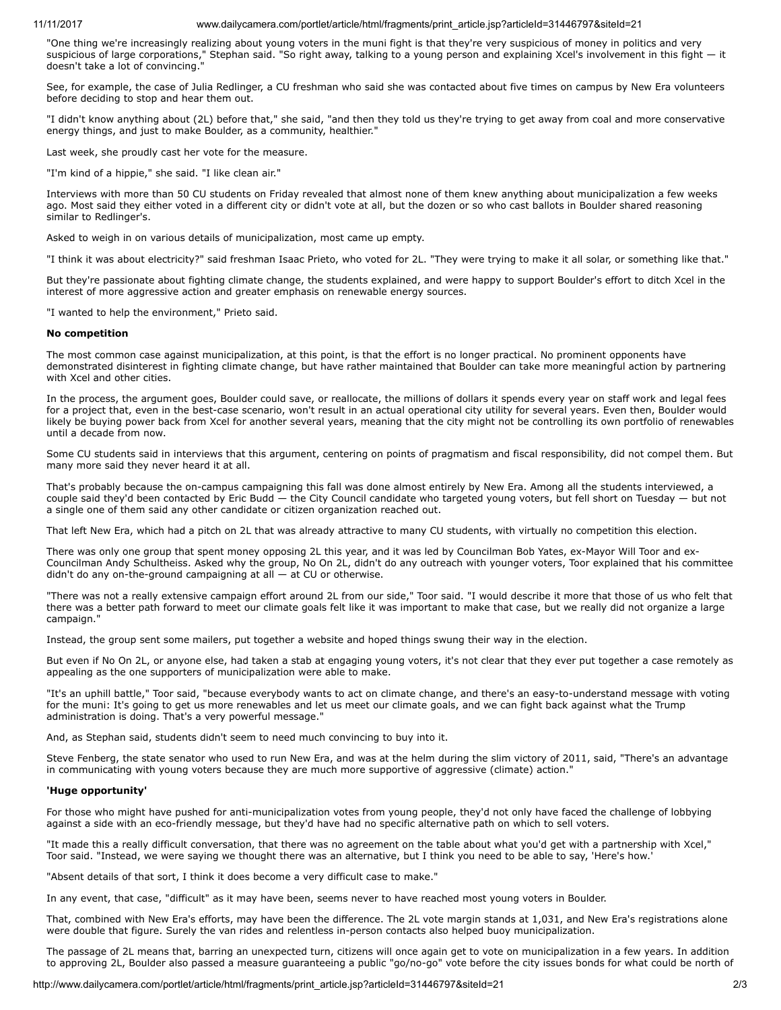# 11/11/2017 www.dailycamera.com/portlet/article/html/fragments/print\_article.jsp?articleId=31446797&siteId=21

"One thing we're increasingly realizing about young voters in the muni fight is that they're very suspicious of money in politics and very suspicious of large corporations," Stephan said. "So right away, talking to a young person and explaining Xcel's involvement in this fight — it doesn't take a lot of convincing.

See, for example, the case of Julia Redlinger, a CU freshman who said she was contacted about five times on campus by New Era volunteers before deciding to stop and hear them out.

"I didn't know anything about (2L) before that," she said, "and then they told us they're trying to get away from coal and more conservative energy things, and just to make Boulder, as a community, healthier."

Last week, she proudly cast her vote for the measure.

"I'm kind of a hippie," she said. "I like clean air."

Interviews with more than 50 CU students on Friday revealed that almost none of them knew anything about municipalization a few weeks ago. Most said they either voted in a different city or didn't vote at all, but the dozen or so who cast ballots in Boulder shared reasoning similar to Redlinger's.

Asked to weigh in on various details of municipalization, most came up empty.

"I think it was about electricity?" said freshman Isaac Prieto, who voted for 2L. "They were trying to make it all solar, or something like that."

But they're passionate about fighting climate change, the students explained, and were happy to support Boulder's effort to ditch Xcel in the interest of more aggressive action and greater emphasis on renewable energy sources.

"I wanted to help the environment," Prieto said.

### No competition

The most common case against municipalization, at this point, is that the effort is no longer practical. No prominent opponents have demonstrated disinterest in fighting climate change, but have rather maintained that Boulder can take more meaningful action by partnering with Xcel and other cities.

In the process, the argument goes, Boulder could save, or reallocate, the millions of dollars it spends every year on staff work and legal fees for a project that, even in the best-case scenario, won't result in an actual operational city utility for several years. Even then, Boulder would likely be buying power back from Xcel for another several years, meaning that the city might not be controlling its own portfolio of renewables until a decade from now.

Some CU students said in interviews that this argument, centering on points of pragmatism and fiscal responsibility, did not compel them. But many more said they never heard it at all.

That's probably because the on-campus campaigning this fall was done almost entirely by New Era. Among all the students interviewed, a couple said they'd been contacted by Eric Budd — the City Council candidate who targeted young voters, but fell short on Tuesday — but not a single one of them said any other candidate or citizen organization reached out.

That left New Era, which had a pitch on 2L that was already attractive to many CU students, with virtually no competition this election.

There was only one group that spent money opposing 2L this year, and it was led by Councilman Bob Yates, ex-Mayor Will Toor and ex-Councilman Andy Schultheiss. Asked why the group, No On 2L, didn't do any outreach with younger voters, Toor explained that his committee didn't do any on-the-ground campaigning at all — at CU or otherwise.

"There was not a really extensive campaign effort around 2L from our side," Toor said. "I would describe it more that those of us who felt that there was a better path forward to meet our climate goals felt like it was important to make that case, but we really did not organize a large campaign."

Instead, the group sent some mailers, put together a website and hoped things swung their way in the election.

But even if No On 2L, or anyone else, had taken a stab at engaging young voters, it's not clear that they ever put together a case remotely as appealing as the one supporters of municipalization were able to make.

"It's an uphill battle," Toor said, "because everybody wants to act on climate change, and there's an easy-to-understand message with voting for the muni: It's going to get us more renewables and let us meet our climate goals, and we can fight back against what the Trump administration is doing. That's a very powerful message."

And, as Stephan said, students didn't seem to need much convincing to buy into it.

Steve Fenberg, the state senator who used to run New Era, and was at the helm during the slim victory of 2011, said, "There's an advantage in communicating with young voters because they are much more supportive of aggressive (climate) action."

## 'Huge opportunity'

For those who might have pushed for anti-municipalization votes from young people, they'd not only have faced the challenge of lobbying against a side with an eco-friendly message, but they'd have had no specific alternative path on which to sell voters.

"It made this a really difficult conversation, that there was no agreement on the table about what you'd get with a partnership with Xcel," Toor said. "Instead, we were saying we thought there was an alternative, but I think you need to be able to say, 'Here's how.'

"Absent details of that sort, I think it does become a very difficult case to make."

In any event, that case, "difficult" as it may have been, seems never to have reached most young voters in Boulder.

That, combined with New Era's efforts, may have been the difference. The 2L vote margin stands at 1,031, and New Era's registrations alone were double that figure. Surely the van rides and relentless in-person contacts also helped buoy municipalization.

The passage of 2L means that, barring an unexpected turn, citizens will once again get to vote on municipalization in a few years. In addition to approving 2L, Boulder also passed a measure guaranteeing a public "go/no-go" vote before the city issues bonds for what could be north of